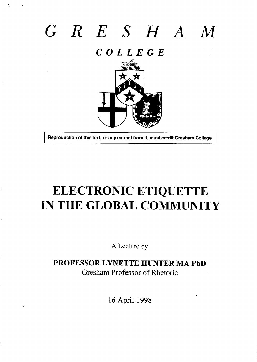# *G R ESH A M*

*COLLEGE*



**Reproduction of this text, or any extract from it, must credit Gresham College** 

I

 $\bar{1}$ 

## ELECTRONIC ETIQUETTE IN THE GLOBAL COMMUNITY

A Lecture by

**PROFESSOR LYNETTE HUNTER MA PhD** Gresham Professor of Metoric

16 April 1998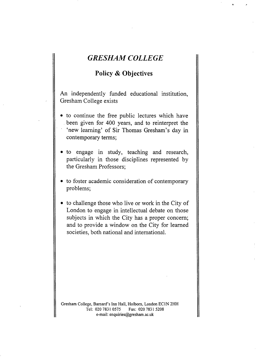## **GRESHAM COLLEGE**

T ,,

### **Policy & Objectives**

**h** independently finded educational institution, Gresham College exists

- to continue the free public lectures which have been given for 400 years, and to reinterpret the 'new learning' of Sir Thomas Gresham's day in contemporary terns;
- to engage in study, teaching and research, particularly in those disciplines represented by the Gresham Professors;
- to foster academic consideration of contemporary problems;
- to challenge those who live or work in the City of London to engage in intellectual debate on those subjects in which the City has a proper concern; and to provide a window on the City for learned societies, both national and international.

Gresham College, Barnard's Inn Hall, Holborn, London EC1N 2HH<br>Tel: 020 7831 0575 Fax: 020 7831 5208 Fax: 020 7831 5208 e-mail: enquiries@gresham. ac.uk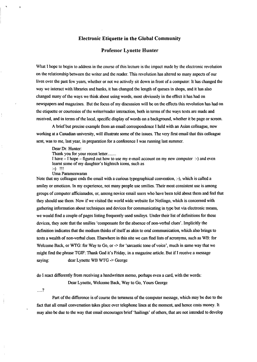#### **Electronic Etiquette in the Global Community**

#### **Professor Lynette Hunter**

What I hope to begin to address in the course of this lecture is the impact made by the electronic revolution on the relationship between the writer and the reader. This revolution has altered so many aspects of our lives over the past few years, whether or not we actively sit down in front of a computer. It has changed the way we interact with libraries and banks, it has changed the length of queues in shops, and it has dso changed many of the ways we think about using words, most obviously in the effect it has had on newspapers and magazines. But the focus of my discussion will be on the effects this revolution has had on the etiquette or courtesies of the writer/reader interaction, both in terms of the ways texts are made and received, and in terms of the local, specific display of words on a background, whether it be page or screen.

A brief but precise example from an email correspondence I held with an Asian colleague, now working at a Canadian university, will illustrate some of the issues. The very first email that this colleague sent, was to me, last year, in preparation for a conference I was running last summer.

Dear Dr. Hunter:

Thank you for your recent letter........

I have - I hope – figured out how to use my e-mail account on my new computer :-) and even learnt some of my daughter's hightech icons, such as

:-) !!!

Uma Parameswaran

Note that my colleague ends the email with a curious typographical convention,  $:-$ ), which is called a smiley or emoticon. In my experience, not many people use smilies. Their most consistent use is among groups of computer afficianados, or, among novice email users who have been told about them and feel that they should use them. Now if we visited the worldwide website for Netiingo, which is concerned with gathering information about techniques and devices for communicating in type but via electronic means, we would find a couple of pages listing frequently used smileys. Under their list of definitions for these devices, they note that the smilies 'compensate for the absence of non-verbal clues'. Implicitly the definition indicates that the medium thinks of itself as akin to oral communication, which also brings to texts a wealth of non-verbal clues. Elsewhere in this site we can find lists of acronyms, such as WB: for Welcome Back, or WTG: for Way to Go, or  $\sim$  for 'sarcastic tone of voice', much in same way that we might find the phrase TGIF: Thank God it's Friday, in a magazine article. But if I receive a message saying: dear Lynette WB WTG -> George

do I react differently from receiving a handwritten memo, perhaps even a card, with the words: Dear Lynette, Welcome Back, Way to Go, Yours George

....7.

.

Part of the difference is of course the terseness of the computer message, which may be due to the fact that all email conversation takes place over telephone lines at the moment, and hence costs money. It may also be due to the way that email encourages brief 'hailings' of others, that are not intended to develop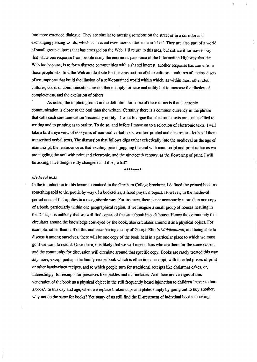into more extended didogue. They are similar to meeting someone on the street or in a corridor and exchanging passing words, which is an event even more curtailed than 'chat'. They are also part of a world of small group cultures that has emerged on the Web. I'll return to this area, but suffice it for now to say that while one response from people using the enormous panorama of the Information Highway that the Web has become, is to form discrete communities with a shared interest, another response has come from those people who find the Web an ideal site for the construction of club cultures - cultures of enclosed sets of assumptions that build the illusion of a self-contained world within which, as within most other club cultures, codes of communication are not there simply for ease and utility but to increase the illusion of completeness, and the exclusion of others.

,

As noted, the implicit ground in the definition for some of these terms is that electronic communication is closer to the oral than the written. Certainly there is a common currency in the phrase that calls such communication 'secondary orality'. I want to argue that electronic texts are just as allied to writing and to printing as to orality. To do so, and before I move on to a selection of electronic texts, I will take a bird's eye view of 600 years of non-oral verbal texts, written, printed and electronic – let's call them transcribed verbal texts. The discussion that follows dips rather eclectically into the medieval as the age of manuscript, the renaissance as that exciting period jugghg the ord with manuscript and print rather as we are juggling the oral with print and electronic, and the nineteenth century, as the flowering of print. I will be asking, have things redly changed? and if so, what?

\*\*\*\*\$\*\*\*

#### *Medieval texts*

In the introduction to this lecture contained in the Gresbam College brochure, I defined the printed book as something sold to the public by way of a bookseller, a fixed physical object. However, in the medieval period none of this appfies in a recognizable way. For instance, there is not necessarily more than one copy of a book, particularly within one geographical region. If we imagine a small group of houses nestling in the Dales, it is unlikely that we will find copies of the same book in each house. Hence the community that circulates around the knowledge conveyed by the book, also circulates around it as a physical object. For example, rather than half of this audience having a copy of George Eliot's *Middlemarch*, and being able to discuss it among ourselves, there will be one copy of the book held in a particular place to which we must go if we want to read it. Once there, it is likely that we will meet others who are there for the same reason, and the community for discussion will circulate around that specific copy. Books are rarely treated this way any more, except perhaps the family recipe book which is often in manuscript, with inserted pieces of print or other handwritten recipes, and to which people turn for traditional receipts like christmas cakes, or, interestingly, for receipts for preserves like pickles and marmelades. And there are vestiges of this veneration of the book as a physical object in the still frequently heard injunction to children 'never to hurt a book'. In this day and age, when we replace broken cups and phtes simply by going out to buy another, why not do the same for books? Yet many of us still find the ill-treatment of indivdual books shocking.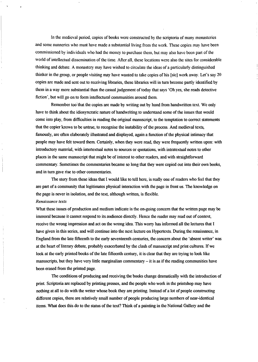In the medieval period, copies of books were constricted *by tie* scriptoria of many momsteries  $\alpha$  and some nunneries who must have made a substantial living from the work. These copies may have been commissioned by individuals who had the money to purchase them, but may also have been part of the world of intellectual dissemination of the time. After all, these locations were also the sites for considerable thinking and debate. A monastery may have wished to circulate the ideas of a particularly distinguished thinker in the group, or people visiting may have wanted to take copies of his [sic] work away. Let's say 20 copies are made and sent out to receiving libraries, these libraries will in turn become partly identified by them in a way more substantial than the casual judgement of today that says 'Oh yes, she reads detective fiction', but will go on to form intellectural communities around them.

Remember too that the copies are made by writing out by hand from handwritten text. We only have to think about the idiosyncratic nature of handwriting to understand some of the issues that would come into play, from difficulties in reading the original manuscript, to the temptation to correct statements that the copier knows to be untrue, to recognise the instability of the process. And medieval texts, famously, are often elaborately illustrated and displayed, again a function of the physical intimacy that people may have felt toward them. Certainly, when they were read, they were frequently written upon: with introductory material, with intertextual notes to sources or quotations, with intratextual notes to other places in the same manuscript that might be of interest to other readers, and with straightforward commentary. Sometimes the commentaries became so long that they were copied out into their own books, and in turn gave rise to other commentaries.

The story from these ideas that I would like to tell here, is really one of readers who feel that they are part of a community that legitimates physical interaction with the page in front us. The knowledge on the page is never in isolation, and the text, although written, is flexible.

#### *Renaissance* texts

What these issues of production and medium indicate is the on-going concern that the written page may be immoral because it cannot respond to its audience directly. Hence the reader may read out of context, receive the wrong impression and act on the wrong idea. This worry has informed all the lectures that I have given in this series, and will continue into the next lecture on Hypertexts. During the renaissance, in England from the hte ffieenth to the early seventeenth centuries, the concern about the 'absent writer' was at the heart of literary debate, probably exacerbated by the clash of manuscript and print cultures. If we look at the early printed books of the late fifteenth century, it is clear that they are trying to look like manuscripts, but they have very little marginalian commentary  $-$  it is as if the reading communities have been erased from the printed page.

The conditions of producing and receiving the books change dramatically with the introduction of print Scriptotia are replaced by printing presses, and the people who work in the printshop may have nothing at all to do with the writer whose book they are printing. Instead of a lot of people constructing different copies, there are relatively small number of people producing large numbers of near-identical items. What does this do to the status of the text? Think of a painting in the National Gallery and the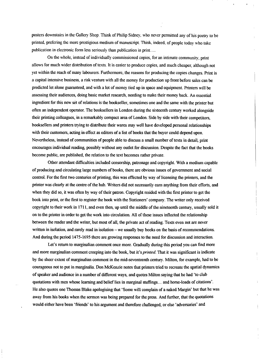posters downstairs in the Gallery Shop. Think of Philip Sidney, who never permitted any of his poetry to be printed, prefering the more prestigious medium of manuscript. Think, indeed, of people today who take publication in electronic form less seriously than publication in print,...

On the whole, instead of individually commissioned copies, for an intimate community, print allows for much wider distribution of texts. It is easier to produce copies, and much cheaper, although not yet within the reach of many labourers. Furthermore, the reasons for producing the copies changes. Print is a capital intensive business, a risk venture with aU tie money for production up front before sales can be predicted let alone guaranteed, and with a lot of money tied up in space and equipment. Printers will be assessing their audiences, doing basic market research, needing to make their money back. An essential ingredient for this new &t of relations is the bookseller, sometimes one and the same with the printer but often an independent operator. The booksellers in London during the sixteenth century worked alongside their printing colleagues, in a remarkably compact area of London. Side by side with their competitors, booksellers and printers trying to distribute their wares may well have developed personal relationships with their customers, acting in effect as editors of a list of books that the buyer could depend upon. Nevertheless, instead of communities of people able to discuss a small number of texts in detail, print encourages individual reading, possibly without any outlet for discussion. Despite the fact that the books become public, are published, the relation to the text becomes rather private.

Other attendant difficulties included censorship, patronage and copyright. With a medium capable of producing and cirdating large numbers of books, there are obvious issues of government and social control. For the first two centuries of printing, this was effected by way of licensing the printers, and the printer was clearly at the centre of the hub. Writers did not necessarily earn anything from their efforts, and when they did so, it was often by way of their patron. Copyright resided with the first printer to get the book into print, or the first to register the book with the Stationers' company. The writer only received copyright to their work in 1711, and even then, up until the middle of the nineteenth century, usually sold it on to the printer in order to get the work into circulation. All of these issues inflected the relationship between the reader and the writer, but most of all, the private act of reading. Texts even not are never written in isolation, and rarely read in isolation – we usually buy books on the basis of recommendations. And during the period 1475-1695 there are growing responses to the need for discussion and interaction.

Let's return to marginalian comment once more. Gradually during this period you can find more and more marginalian comment creeping into the book, but it's *printed*. That it was significant is indicate by the sheer extent of marginalian comment in the mid-seventeenth century. Milton, for example, had to be courageous not to put in marginalia. Don McKenzie notes that printers tried to recreate the spatial dynamics of speaker and audience in a number of different ways, and quotes Wton saying that he had 'to club quotations with men whose learning and belief lies in marginal stuffings... and horse-loads of citations'. He also quotes one Thomas Blake apologising that 'Some will complain of a naked Margin' but that he was away from his books when the sermon was being prepared for the press. And further, that the quotations would either have been 'friends' to his argument and therefore challenged, or else 'adversaries' and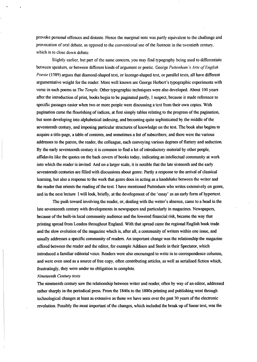provoke personal offences and distaste. Hence the marginal note was partly equivalent to the challenge and provocation of oral debate, as opposed to the conventional use of the footnote in the twentieth century, which is to close down debate.

Slightly earlier, but part of the same concern, you may find typography being used to differentiate between speakers, or between different kinds of argument or poetic. George *Puttenham's Arte of English Poesie* (1589) argues that diamond-shaped text, or lozenge-shaped text, or parallel texts, all have different argumentative weight for the reader. More well known are George Herbert's typographic experiments with verse in such poems as *The Temple*. Other typographic techniques were also developed. About 100 years after the introduction of print, books begin to be paginated partly, I suspect, because it made reference to specific passages easier when two or more people were discussing a text from their own copies. With pagination came the flourishing of indices, at first simply tables relating to the progress of the pagination but soon developing into alphabetical indexing, and becoming quite sophisticated by the middle of the seventeenth century, and imposing particular structures of knowledge on the text. The book also begins to acquire a title-page, a table of contents, and sometimes a list of subscribers; and there were the various addresses to the patron, the reader, the colleague, each conveying various degrees of flattery and seduction. By the early seventeenth century it is common to find a lot of introductory material by other people, affidavits like the quotes on the back covers of books today, indicating an intellectual community at work into which the reader is invited. And on a larger scale, it is notable that the late sixteenth and the early seventeenth centuries are filled with discussions about genre: Partly a response to the arrival of classical learning, but also a response to the work that genre does in acting as a handshake between the writer and the reader that orients the reading of the text. I have mentioned Puttenham who writes extensively on genre, and in the next lecture I will look, briefly, at the development of the 'essay' as an early form of hypertext.

The push toward involving the reader, or, dealing with the writer's absence, came to a head in the late seventeenth century with developments in newspapers and particularly in magazines. Newspapers, because of the built-in local community audience and the lowered financial risk, became the way that printing spread from London throughout England. With that spread came the regional English book trade and the slow evolution of the magazine which is, after all, a community of writers within one issue, and usually addresses a specific community of readers. An important change was the relationship the magazine offered between the reader and the editor, for example Addison and Steele in their Spectator, which introduced a familiar editorial voice. Readers were also encouraged to write in to correspondence columns, and were even used as a source of free copy, often contributing articles, as well as serialised fiction which, frustratingly, they were under no obligation to complete.

#### $N$ *ineteenth Century texts*

The nineteenth century saw the relationship between writer and reader, often by way of an editor, addressed rather sharply in the periodical press. From the 1840s to the 1880s printing and publishing went through technological changes at least as extensive as those we have seen over the past 30 years of the electronic revolution. Possibly the most important of the changes, which included the break up of linear text, was the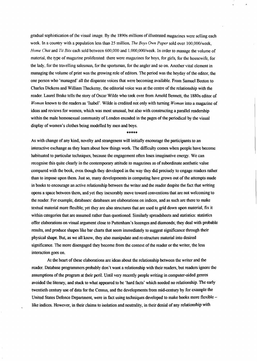gradual sophistication of the visual image. By the 1890s millions of illustrated magazines were selling each week. In a country with a population less than 25 million. *The Boys @vn Paper* sold over 100,000/week, *Home Chat* and *Tit Bits* each sold between 600,000 and 1,000,000/week. In order to manage the volume of material, the type of magazine proliferated: there were magazines for boys, for girls, for the housewife, for the lady, for the travelling salesman, for the sportsman, for the angler and so on. Another vital element in managing the volume of print was the growing role of editors. me period was the heyday of the editor, the one person who 'managed' all the disparate voices that were becoming available. From Samuel Beeton to Charles Dickens and William Thackeray, the editorial voice was at the centre of the relationship with the reader. Laurel Brake tells the story of Oscar Wilde who took over from Arnold Bennett, the 1880s editor of *Woman* known to the readers as 'Isabel'. Wilde is credited not only with turning *Woman* into a magazine of ideas and reviews for women, which was most unusual, but also with constructing a parallel readership within the male homosexual community of London encoded in the pages of the periodical by the visual display of women's clothes being modelled by men and boys.

\*\*\*\*\*

As with change of any kind, novelty and strangeness will initially encourage the participants to an interactive exchange as they learn about how things work. The difficulty comes when people have become habituated to particular techniques, because the engagement often loses imaginative energy. We can recognise this quite clearly in the contemporary attitude to magazines as of subordinate aesthetic value compared with the book, even though they developed in the way they did precisely to engage readers rather than to impose upon them Just so, many developments in computing have grown out of the attempts made in books to encourage an active relationship between the writer and the reader despite the fact that writing opens a space between them, and yet they inexorably move toward conventions that are not welcoming to the reader. For example, databases: databases are elaborations on indices, and as such are there to make textual material more flexible; yet they are also structures that are used to grid down upon material, fix it within categories that are assumed rather than questioned. Similarly spreadsheets and statistics: statistics offer elaborations on visual argument close to Puttenham's lozenges and diamonds; they deal with probable results, and produce shapes like bar charts that seem immediately to suggest significance through their physical shape. But, as we all know, they also manipulate and re-structure material into desired significance. The more disengaged they become from the context of the reader or the writer, the less interaction goes on.

At the heart of these elaborations are ideas about the relationship between the writer and the reader. Database programmers probably don't want a relationship with their readers, but readers ignore the assumptions of the program at their peril. Until very recently people writing in computer-aided genres avoided the literary, and stuck to what appeared to be 'hard facts' which needed no relationship. The early twentieth century use of data for the Census, and the developments from mid-century by for example the United States Defence Department, were in fact using techniques developed to make books more flexible like indices. However, in their claims to isolation and neutrality, in their denial of any relationship with

.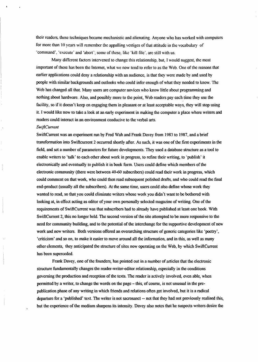their readers, these techniques became mechanistic and alienating. Anyone who has worked with computers for more than 10 years will remember the appalling vestiges of that attitude in the vocabulary of 'command', 'execute' and 'abort'; some of these, like 'kill file', are still with us.

Many different factors intervened to change this relationship, but, I would suggest, the most important of these has been the Internet, what we now tend to refer to as the Web. One of the reasons that earlier applications could deny a relationship with an audience, is that they were made by and used by people with similar backgrounds and outlooks who could infer enough of what they needed to know. The Web has changed all that. Many users are computer novices who know little about programming and nothing about hardware. Also, and possibly more to the point, Web readers pay each time they use the facility, so if it doesn't keep on engaging them in pleasant or at least acceptable ways, they will stop using it. I would like now to take a look at an early experiment in making the computer a place where writers and readers could interact in an environment conducive to the verbal arts.

#### *Swi~Current*

SwiftCurrent was an experiment run by Fred Wah and Frank Davey from 1983 to 1987, and a brief transformation into Swiftcurrent 2 occurred shortly after. As such, it was one of the first experiments in the field, and set a number of parameters for future developments. They used a database structure as a tool to enable writers to 'talk' to each other about work in progress, to refine their writing, to 'publish' it electronically and eventually to publish it in book form. Users could define which members of the electronic community (there were between 40-60 subscribers) could read their work in progress, which could comment on that work, who could then read subsequent polished drafts, and who could read the final end-product (usually all the subscribers). At the same time, users could also define whose work they wanted to read, so that you could eliminate writers whose work you didn't want to be bothered with looking at, in effect acting as editor of your own personally selected magazine of writing. One of the requirements of SwiftCurrent was that subscribers had to already have published at least one book. With SwiftCurrent 2, this no longer held. The second version of the site attempted to be more responsive to the need for community building, and to the potential of the interchange for the supportive development of new work and new writers. Both versions offered an overarching structure of generic categories like 'poetry', 'criticism' and so on, to make it easier to move around all the information, and in this, as well as many other elements, they anticipated the structure of sites now operating on the Web, by which SwiftCurrent has been superceded.

Frank Davey, one of the founders, has pointed out in a number of articles that the electronic structure fundamentally changes the reader-writer-editor relationship, especially in the conditions governing the production and reception of the texts. The reader is actively involved, even able, when permitted by a writer, to change the words on the page – tis, of course, is not unud in the prepublication phase of any writing in which friends and relations often get involved, but it is a radical departure for a 'published' text. The writer is not sacrosanct -- not that they had not previously realised this, but the experience of the medium sharpens its intensity. Davey also notes that he suspects writers desire the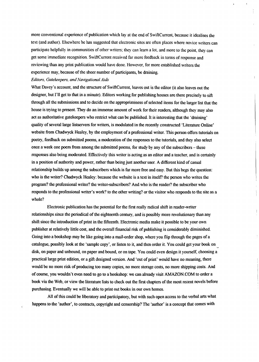more conventional experience of publication which lay at the end of SwiftCurrent, because it idealises the text (and author). Elsewhere he has suggested that electronic sites are often places where novice writers can participate helptily in communities of other writers; they can learn a lot, and more to the point, they can get some imediate recognition. SwiftCurrent received far more feedback in terms of response and reviewing than any print publication would have done. However, for more established writers the experience may, because of the sheer number of participants, be draining.

#### *Editors, Gatetieprs, and Navigational Aids*

What Davey's account, and the structure of SwiftCurrent, leaves out is the editor (it also leaves out the designer, but I'll get to that in a minute). Editors working for publishing houses are there precisely to sift through all the submissions and to decide on the appropriateness of selected items for the larger list that the house is trying to present. They do an immense amount of work for their readers, although they may also act as authoritative gatekeepers who restrict what can be published. It is interesting that the 'draining' quality of several large listservers for writers, is modulated in the recently constructed 'Literature Online' website from Chadwyck Healey, by the employment of a professional writer. This person offers tutorials on poetry, feedback on submitted poems, a moderation of the responses to the tutorials, and they also select once a week one poem from among the submitted poems, for study by any of the subscribers  $-$  these responses also being moderated. Effectively this writer is acting as an editor and a teacher, and is certainly in a position of authority and power, rather than being just another user. A different kind of casual relationship builds up among the subscribers which is far more free and easy. But this begs the question: who is the writer? Chadwyck Healey: because the website is a text in itself? the person who writes the program? the professional writer? the writer-subscribers? And who is the reader? the subscriber who responds to the professional writer's work? to the other writing? or the visitor who responds to the site as a whole?

Electronic publication has the potential for the first really radical shift in reader-writer relationships since the periodical of the eighteenth century, and is possibly more revolutionary than any shift since the introduction of print in the fifteenth. Electronic media make it possible to be your own publisher at relatively little cost, and the overall financial risk of publishing is considerably diminished. Going into a bookshop may be like going into a mail-order shop, where you flip through the pages of a catalogue, possibly look at the 'sample copy', or listen to it, and then order it. You could get your book on disk, on paper and unbound, on paper and bound, or on tape. You could even design it yourself, choosing a practical large print edition, or a gift designed version. And 'out of print' would have no meaning, there would be no more risk of producing too many copies, no more storage costs, no more shipping costs. And of course, you wouldn't even need to go to a bookshop: we can already visit AMAZON.COM to order a book via the Web, or view the literature lists to check out the first chapters of the most recent novels before purchasing. Eventually we will be able to print out books in our own homes.

All of this could be liberatory and participatory, but with such open access to the verbal arts what happens to the 'author', to contracts, copyright and censorship? The 'author' is a concept that comes with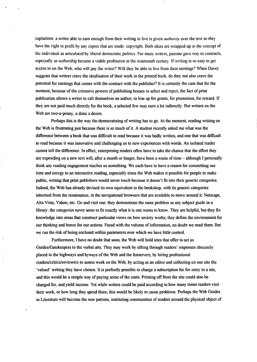capitalism: a writer able to earn enough from their writing to live is given *authority* over the text so they have the right to profit by any copies that are made: copyright. Both ideas are wrapped up in the concept of the individual as articulated by liberal democratic politics. For many writers, patrons gave way to contracts, especially as authorship became a viable profession in the nineteenth century. If writing is so easy to get access to on the Web, who will pay the writer? WiU they be able to live from their earnings? When Davey suggests that writers crave the idealisation of their work in the printed book, do they not also crave the potential for earnings that comes with the contract with the publisher? It is certairdy the case that for the moment, because of the extensive powers of publishing houses to select and reject, the fact of print publication allows a writer to call themselves an author, to line up for grants, for promotion, for reward. If they are not paid much direcfly for the book, a selected few may earn a lot indirecdy. But writers on the Web are two-a-penny, a dime a dozen.

.

Perhaps this is the way the democratising of writing has to go. At the moment, reading writing on the Web is frustrating just because there is so much of it. A student recently asked me what was the difference between a book that was difficult to read because it was badly written, and one that was difficult to read because it was innovative and challenging us to new experiences with words. An isolated reader cannot tell the difference. In effect, enterprising readers often have to take the chance that the effort they are expending on a new text will, after a month or longer, have been a waste of time – although I personally think any reading engagement teaches us something. We each have to have a reason for committing our time and energy to an interactive reading, especially since the Web makes it possible for people to make public, writing that print publishers wotid never touch because it doesn't fit into their generic categories. Indeed, the Web has already devised its own equivalent to the bookshop, with its generic categories inherited from the renaissance, in the navigational browsers that are available to move around it: Netscape, Alta Vista, Yahoo, etc. Go and visit one: they demonstrate the same problem as any subject guide in a library: the categories never seem to fit exactly what it is one wants to know. They are helpful, but they fix knowledge into areas that construct particular views on how society works; they define the environment for our thinking and hence for our actions. Faced with the volume of information, no doubt we need them. But we run the risk of being enclosed within parameters over which we have litie control.

Furthermore, I have no doubt that soon, the Web will hold sites that offer to act as Guides/Gatekeepers to the verbal arts. They may work by sifting through readers' responses obscurely placed in the highways and byways of the Web and the listservers, by hiring professional readers/critics/reviewers to assess work on the Web, by acting as an editor and collecting on one site the 'valued' writing they have chosen. It is perfectly possible to charge a subscription fee for entry to a site, and this would be a simple way of paying some of the costs. Printing off from the site could also be charged for, and yield income. Yet while writers could be paid according to how many times readers visit their work, or how long they spend there, this would be likely to muse problems. Perhaps the Web Guides to Literature will become the new patrons, instituting communities of readers around the physical object of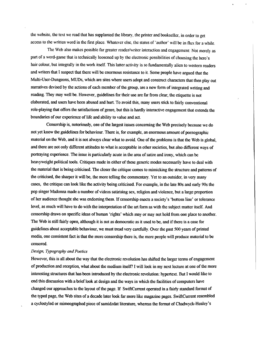the website, the text we read that has supplanted the library, the printer and bookseller, in order to get access to the written word in the first place. Whatever else, the status of 'author' will be in flux for a while. ,

The Web also makes possible far greater reader/writer interaction and engagement: Not merely as part of a word-game that is technically loosened up by the electronic possibilities of choosing the hero's hair colour, but integrally in the work itself. This latter activity is so fundamentally alien to western readers and writers that I suspect that there will be enormous resistance to it. Some people have argued that the Multi-User-Dungeons, MUDs, which are sites where users adopt and construct characters that then play out narratives devised by the actions of each member of the group, are a new form of integrated writing and reading. They may well be. However, guidelines for their use are far from clear; the etiquette is not elaborated, and users have been abused and hurt. To avoid this, many users stick to fairly conventional role-playing that offers the satisfactions of genre, but this is hardly interactive engagement that extends the boundaries of our experience of life and ability to value and act.

Censorship is, notoriously, one of the largest issues concerning the Web precisely because we do not yet know the guidelines for behaviour. There is, for example, an enormous amount of pornographic material on the Web, and it is not always clear what to avoid. One of the problems is that the Web is global, and there are not ordy different attitudes to what is acceptable in other societies, but dso different ways of portraying experience. The issue is particularly acute in the area of satire and irony, which can be heavyweight political tools. Critiques made in either of these generic modes necessarily have to deal with the material that is being criticised. The closer the critique comes to mimicking the structure and patterns of the criticised, the sharper it will be, the more telling the commentary. Yet to an outsider, in very many cases, the critique can look like the activity being criticised. For example, in the late 80s and early 90s the pop singer Madonna made a number of videos satirising sex, religion and violence, but a large proportion of her audience thought she was endorsing them. If censorship enacts a society's 'bottom line' or tolerance level, as much will have to do with the interpretation of the art form as with the subject matter itself. And censorship draws on specific ideas of human 'rights' which may or may not hold from one place to another. The Web is still fairly open, although it is not as democratic as it used to be, and if there is a case for guidelines about acceptable behaviour, we must tread very carefully. Over the past 500 years of printed media, one consistent fact is that the more censorship there is, the more people will produce material to be censord.

#### *Design, Typography and Poetics*

However, this is all about the way that the electronic revolution has shifted the larger terms of engagement of production and reception, what about the medium itself? I will look in my next lecture at one of the more interesting structures that has been introduced by the electronic revolution: hypertext. But I would like to end this discussion with a brief look at design and the ways in which the facilities of computers have changed our approaches to the layout of the page. If SwiftCurrent operated in a fairly standard format of the typed page, the Web sites of a decade later look far more like magazine pages. SwiftCurrent resembled a cyclostyled or mimeographed piece of samidzdat literature, whereas the format of Chadwyck-Healey's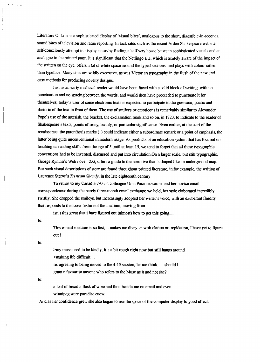Literature OnLine is a sophisticated display of 'visual bites', analogous to the short, digestible-in-seconds, sound bites of television and radio reporting. In fact, sites such as the recent Arden Shakespeare website, self-consciously attempt to display status by finding a half way house between sophisticated visuals and an analogue to the printed page. It is significant that the Netlingo site, which is acutely aware of the impact of the written on the eye, offers a lot of white space around the typed sections, and plays with colour rather than typeface. Many sites are wildly excessive, as was Victorian typography in the flush of the new and asy methods for producing novelty designs.

Just as an early medieval reader would have been faced with a solid block of writing, with no punctuation and no spacing between the words, and would then have proceeded to punctuate it for themselves, today's user of some electronic texts is expected to participate in the grammar, poetic and rhetoric of the text in front of them The use of smileys or emoticons is remarkably similar to Mexander Pope's use of the asterisk, the bracket, the exclamation mark and so on, in 1723, to indicate to the reader of Shakespeare's texts, points of irony, beauty, or particular significance. Even earlier, at the start of the renaissance, the parenthesis marks () could indicate either a subordinate remark or a point of emphasis, the latter being quite unconventional in modern usage. As products of an education system that has focused on teaching us reading skills from the age of 5 until at least 15, we tend to forget that all these typographic conventions had to be invented, discussed and put into circulation. On a larger scale, but still typographic, George Ryman's Web novel, 253, offers a guide to the narrative that is shaped like an underground map. But such visual descriptions of story are found throughout printed literature, in for example, the writing of Laurence Sterne's *Tristram Shandy*, in the late eighteenth century.

To return to my Canadian/Asian colleague Uma Parameswaran, and her novice email correspondence: during the barely three-month email exchange we held, her style elaborated incredibly swiftly. She dropped the smileys, but increasingly adopted her writer's voice, with an exuberant fluidity that responds to the loose texture of the medium, moving from

isn't this great that i have figured out (almost) how to get this going....

to:

This e-mail medium is so fast; it makes me dizzy  $=$  with elation or trepidation, I have yet to figure out !

to:

>my muse used to be kindly, it's a bit rough right now but still hangs around >making life difficult....

re: agreeing to being moved to the 4:45 session, let me think. shodd I grant a favour to anyone who refers to the Muse as it and not she?

to:

.

a loaf of bread a flask of wine and thou beside me on email and even winnipeg were paradise enow.

hd as her confidence grew she dso began to use the space of the computer disphy to good effect: